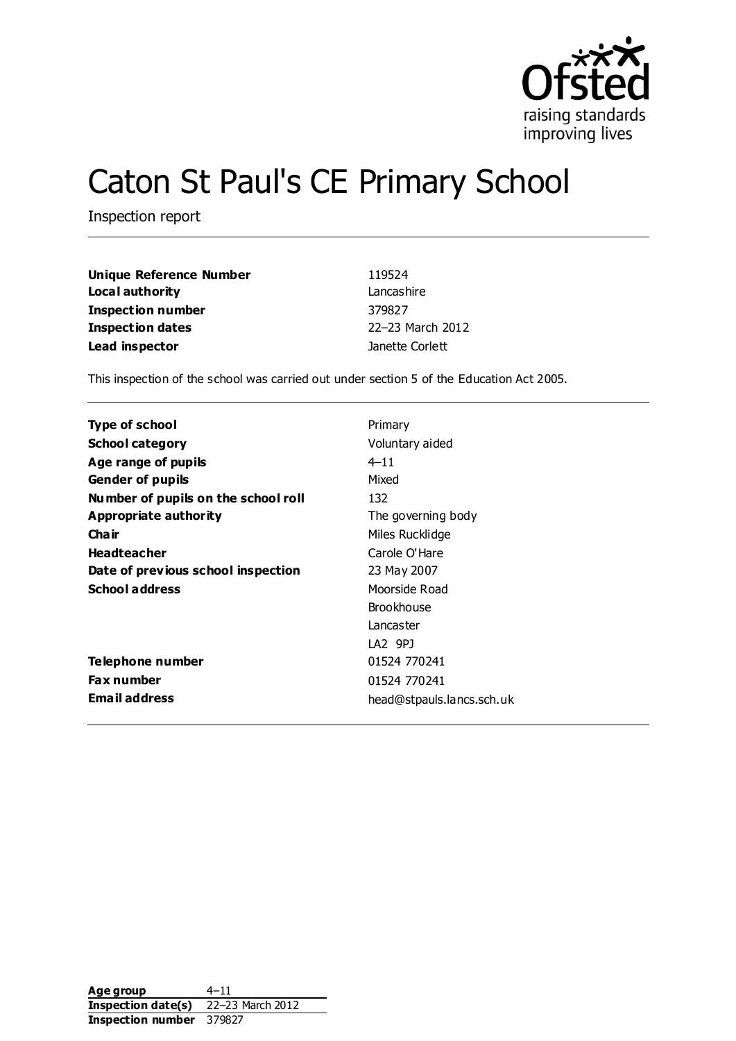

# Caton St Paul's CE Primary School

Inspection report

| <b>Unique Reference Number</b> | 119524           |
|--------------------------------|------------------|
| Local authority                | Lancashire       |
| Inspection number              | 379827           |
| Inspection dates               | 22-23 March 2012 |
| Lead inspector                 | Janette Corlett  |

This inspection of the school was carried out under section 5 of the Education Act 2005.

|                                     | Primary                   |
|-------------------------------------|---------------------------|
| Type of school                      |                           |
| <b>School category</b>              | Voluntary aided           |
| Age range of pupils                 | $4 - 11$                  |
| <b>Gender of pupils</b>             | Mixed                     |
| Number of pupils on the school roll | 132                       |
| <b>Appropriate authority</b>        | The governing body        |
| Cha ir                              | Miles Rucklidge           |
| <b>Headteacher</b>                  | Carole O'Hare             |
| Date of previous school inspection  | 23 May 2007               |
| <b>School address</b>               | Moorside Road             |
|                                     | <b>Brookhouse</b>         |
|                                     | Lancaster                 |
|                                     | LA2 9PJ                   |
| Telephone number                    | 01524 770241              |
| <b>Fax number</b>                   | 01524 770241              |
| <b>Email address</b>                | head@stpauls.lancs.sch.uk |

Age group 4–11 **Inspection date(s)** 22–23 March 2012 **Inspection number** 379827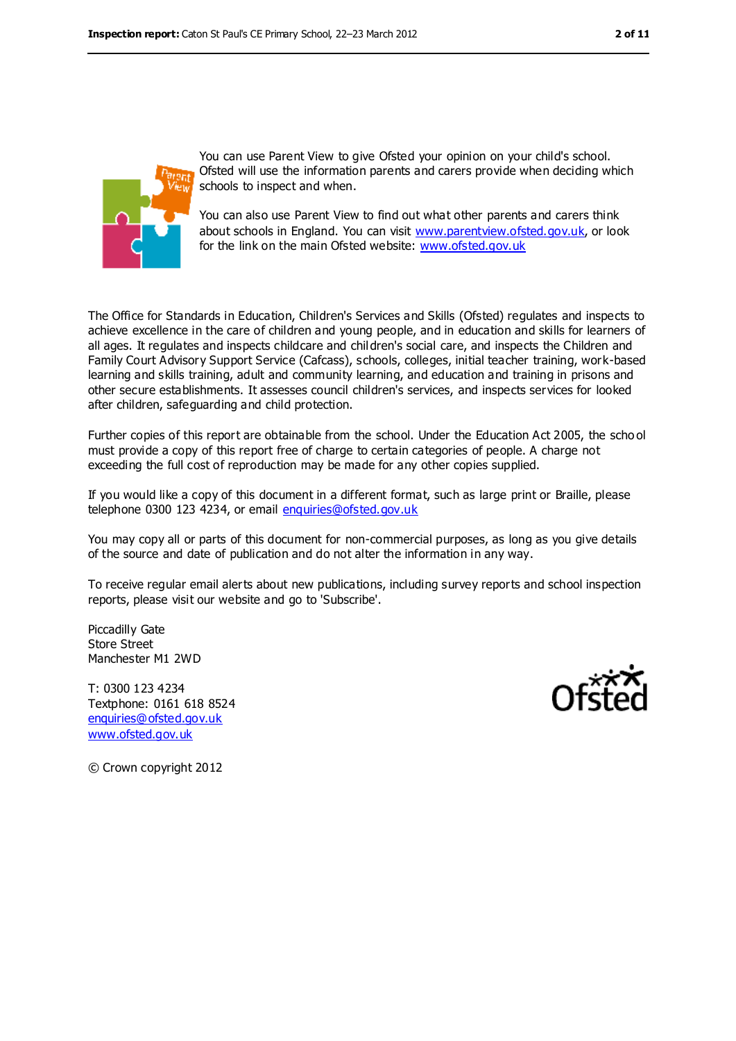

You can use Parent View to give Ofsted your opinion on your child's school. Ofsted will use the information parents and carers provide when deciding which schools to inspect and when.

You can also use Parent View to find out what other parents and carers think about schools in England. You can visit [www.parentview.ofsted.gov.uk,](file:///C:/Users/ggleaden/49683/Local%20Settings/Local%20Settings/Temporary%20Internet%20Files/Local%20Settings/Temporary%20Internet%20Files/Content.IE5/712F4V6C/www.parentview.ofsted.gov.uk) or look for the link on the main Ofsted website: [www.ofsted.gov.uk](file:///C:/Users/ggleaden/49683/Local%20Settings/Local%20Settings/Temporary%20Internet%20Files/Local%20Settings/Temporary%20Internet%20Files/Content.IE5/712F4V6C/www.ofsted.gov.uk)

The Office for Standards in Education, Children's Services and Skills (Ofsted) regulates and inspects to achieve excellence in the care of children and young people, and in education and skills for learners of all ages. It regulates and inspects childcare and children's social care, and inspects the Children and Family Court Advisory Support Service (Cafcass), schools, colleges, initial teacher training, work-based learning and skills training, adult and community learning, and education and training in prisons and other secure establishments. It assesses council children's services, and inspects services for looked after children, safeguarding and child protection.

Further copies of this report are obtainable from the school. Under the Education Act 2005, the scho ol must provide a copy of this report free of charge to certain categories of people. A charge not exceeding the full cost of reproduction may be made for any other copies supplied.

If you would like a copy of this document in a different format, such as large print or Braille, please telephone 0300 123 4234, or email [enquiries@ofsted.gov.uk](mailto:enquiries@ofsted.gov.uk)

You may copy all or parts of this document for non-commercial purposes, as long as you give details of the source and date of publication and do not alter the information in any way.

To receive regular email alerts about new publications, including survey reports and school inspection reports, please visit our website and go to 'Subscribe'.

Piccadilly Gate Store Street Manchester M1 2WD

T: 0300 123 4234 Textphone: 0161 618 8524 [enquiries@ofsted.gov.uk](mailto:enquiries@ofsted.gov.uk) [www.ofsted.gov.uk](http://www.ofsted.gov.uk/)



© Crown copyright 2012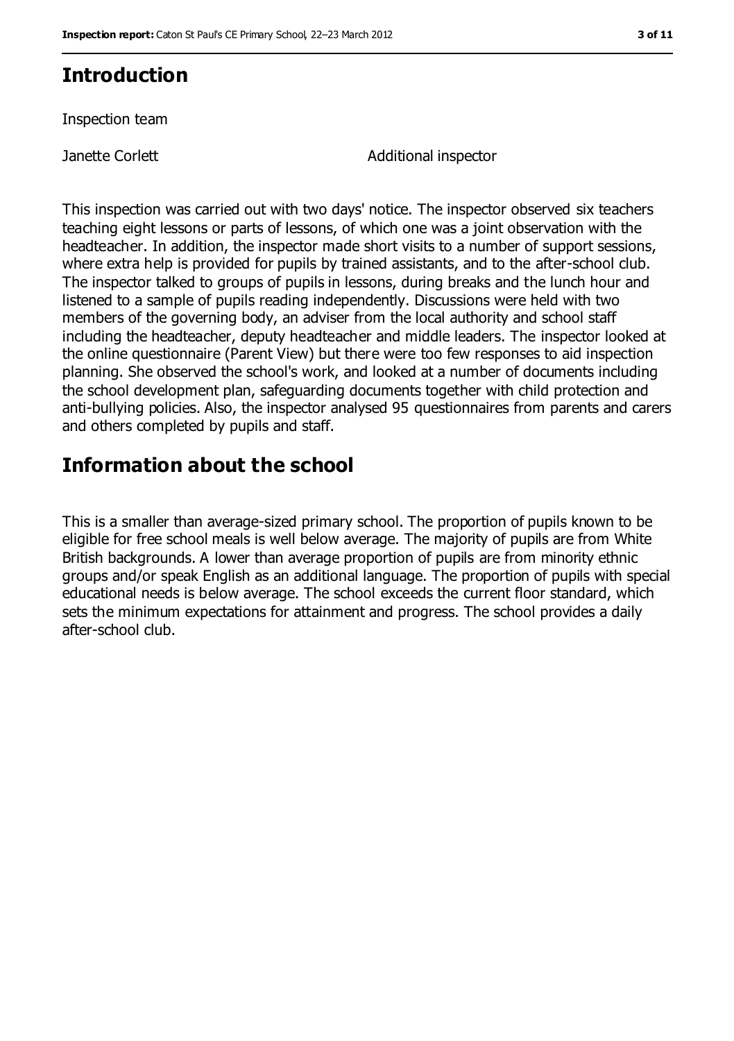## **Introduction**

Inspection team

Janette Corlett **Additional inspector** 

This inspection was carried out with two days' notice. The inspector observed six teachers teaching eight lessons or parts of lessons, of which one was a joint observation with the headteacher. In addition, the inspector made short visits to a number of support sessions, where extra help is provided for pupils by trained assistants, and to the after-school club. The inspector talked to groups of pupils in lessons, during breaks and the lunch hour and listened to a sample of pupils reading independently. Discussions were held with two members of the governing body, an adviser from the local authority and school staff including the headteacher, deputy headteacher and middle leaders. The inspector looked at the online questionnaire (Parent View) but there were too few responses to aid inspection planning. She observed the school's work, and looked at a number of documents including the school development plan, safeguarding documents together with child protection and anti-bullying policies. Also, the inspector analysed 95 questionnaires from parents and carers and others completed by pupils and staff.

## **Information about the school**

This is a smaller than average-sized primary school. The proportion of pupils known to be eligible for free school meals is well below average. The majority of pupils are from White British backgrounds. A lower than average proportion of pupils are from minority ethnic groups and/or speak English as an additional language. The proportion of pupils with special educational needs is below average. The school exceeds the current floor standard, which sets the minimum expectations for attainment and progress. The school provides a daily after-school club.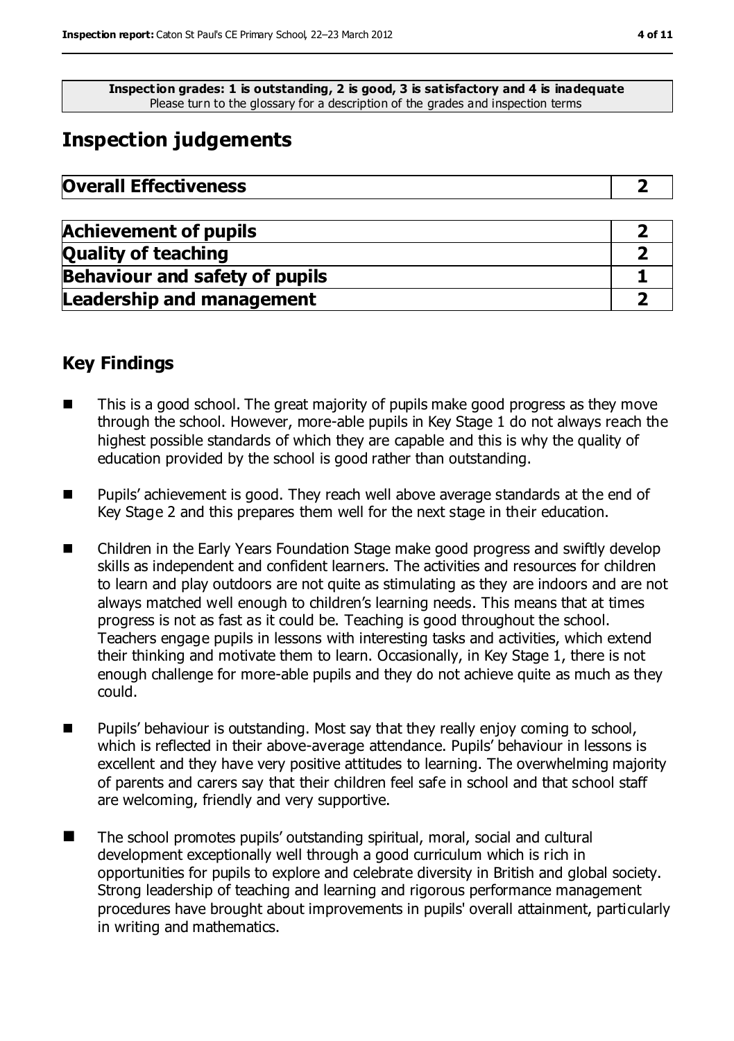**Inspection grades: 1 is outstanding, 2 is good, 3 is satisfactory and 4 is inadequate** Please turn to the glossary for a description of the grades and inspection terms

## **Inspection judgements**

| <b>Overall Effectiveness</b> |  |
|------------------------------|--|
|------------------------------|--|

| <b>Achievement of pupils</b>          |  |
|---------------------------------------|--|
| <b>Quality of teaching</b>            |  |
| <b>Behaviour and safety of pupils</b> |  |
| <b>Leadership and management</b>      |  |

## **Key Findings**

- This is a good school. The great majority of pupils make good progress as they move through the school. However, more-able pupils in Key Stage 1 do not always reach the highest possible standards of which they are capable and this is why the quality of education provided by the school is good rather than outstanding.
- **Pupils'** achievement is good. They reach well above average standards at the end of Key Stage 2 and this prepares them well for the next stage in their education.
- Children in the Early Years Foundation Stage make good progress and swiftly develop skills as independent and confident learners. The activities and resources for children to learn and play outdoors are not quite as stimulating as they are indoors and are not always matched well enough to children's learning needs. This means that at times progress is not as fast as it could be. Teaching is good throughout the school. Teachers engage pupils in lessons with interesting tasks and activities, which extend their thinking and motivate them to learn. Occasionally, in Key Stage 1, there is not enough challenge for more-able pupils and they do not achieve quite as much as they could.
- Pupils' behaviour is outstanding. Most say that they really enjoy coming to school, which is reflected in their above-average attendance. Pupils' behaviour in lessons is excellent and they have very positive attitudes to learning. The overwhelming majority of parents and carers say that their children feel safe in school and that school staff are welcoming, friendly and very supportive.
- The school promotes pupils' outstanding spiritual, moral, social and cultural development exceptionally well through a good curriculum which is rich in opportunities for pupils to explore and celebrate diversity in British and global society. Strong leadership of teaching and learning and rigorous performance management procedures have brought about improvements in pupils' overall attainment, particularly in writing and mathematics.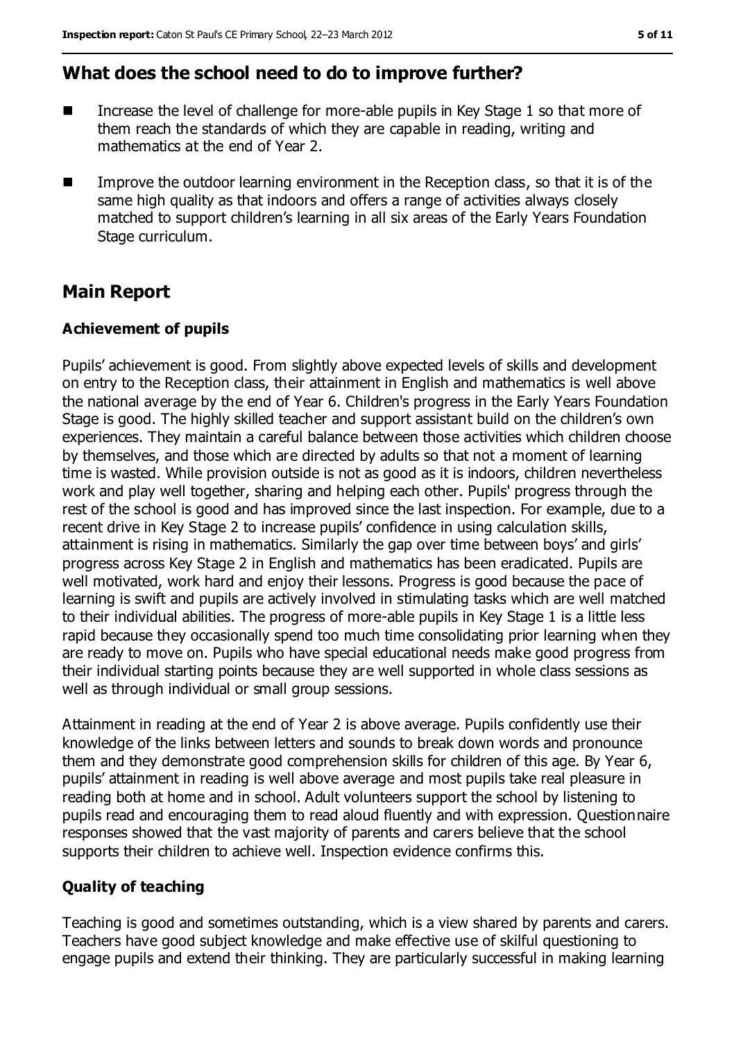## **What does the school need to do to improve further?**

- Increase the level of challenge for more-able pupils in Key Stage 1 so that more of them reach the standards of which they are capable in reading, writing and mathematics at the end of Year 2.
- **IMPROVE THE SUMPE IN THE IMPROVE THE OUTSPE** In the Reception class, so that it is of the same high quality as that indoors and offers a range of activities always closely matched to support children's learning in all six areas of the Early Years Foundation Stage curriculum.

## **Main Report**

## **Achievement of pupils**

Pupils' achievement is good. From slightly above expected levels of skills and development on entry to the Reception class, their attainment in English and mathematics is well above the national average by the end of Year 6. Children's progress in the Early Years Foundation Stage is good. The highly skilled teacher and support assistant build on the children's own experiences. They maintain a careful balance between those activities which children choose by themselves, and those which are directed by adults so that not a moment of learning time is wasted. While provision outside is not as good as it is indoors, children nevertheless work and play well together, sharing and helping each other. Pupils' progress through the rest of the school is good and has improved since the last inspection. For example, due to a recent drive in Key Stage 2 to increase pupils' confidence in using calculation skills, attainment is rising in mathematics. Similarly the gap over time between boys' and girls' progress across Key Stage 2 in English and mathematics has been eradicated. Pupils are well motivated, work hard and enjoy their lessons. Progress is good because the pace of learning is swift and pupils are actively involved in stimulating tasks which are well matched to their individual abilities. The progress of more-able pupils in Key Stage 1 is a little less rapid because they occasionally spend too much time consolidating prior learning when they are ready to move on. Pupils who have special educational needs make good progress from their individual starting points because they are well supported in whole class sessions as well as through individual or small group sessions.

Attainment in reading at the end of Year 2 is above average. Pupils confidently use their knowledge of the links between letters and sounds to break down words and pronounce them and they demonstrate good comprehension skills for children of this age. By Year 6, pupils' attainment in reading is well above average and most pupils take real pleasure in reading both at home and in school. Adult volunteers support the school by listening to pupils read and encouraging them to read aloud fluently and with expression. Questionnaire responses showed that the vast majority of parents and carers believe that the school supports their children to achieve well. Inspection evidence confirms this.

### **Quality of teaching**

Teaching is good and sometimes outstanding, which is a view shared by parents and carers. Teachers have good subject knowledge and make effective use of skilful questioning to engage pupils and extend their thinking. They are particularly successful in making learning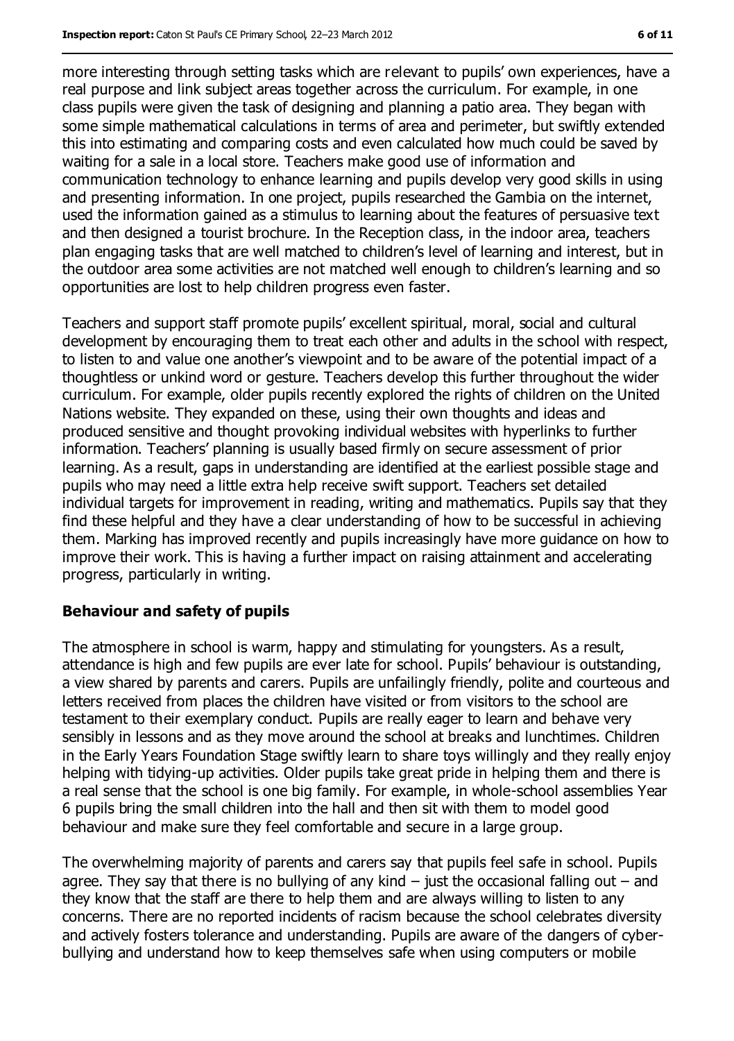more interesting through setting tasks which are relevant to pupils' own experiences, have a real purpose and link subject areas together across the curriculum. For example, in one class pupils were given the task of designing and planning a patio area. They began with some simple mathematical calculations in terms of area and perimeter, but swiftly extended this into estimating and comparing costs and even calculated how much could be saved by waiting for a sale in a local store. Teachers make good use of information and communication technology to enhance learning and pupils develop very good skills in using and presenting information. In one project, pupils researched the Gambia on the internet, used the information gained as a stimulus to learning about the features of persuasive text and then designed a tourist brochure. In the Reception class, in the indoor area, teachers plan engaging tasks that are well matched to children's level of learning and interest, but in the outdoor area some activities are not matched well enough to children's learning and so opportunities are lost to help children progress even faster.

Teachers and support staff promote pupils' excellent spiritual, moral, social and cultural development by encouraging them to treat each other and adults in the school with respect, to listen to and value one another's viewpoint and to be aware of the potential impact of a thoughtless or unkind word or gesture. Teachers develop this further throughout the wider curriculum. For example, older pupils recently explored the rights of children on the United Nations website. They expanded on these, using their own thoughts and ideas and produced sensitive and thought provoking individual websites with hyperlinks to further information. Teachers' planning is usually based firmly on secure assessment of prior learning. As a result, gaps in understanding are identified at the earliest possible stage and pupils who may need a little extra help receive swift support. Teachers set detailed individual targets for improvement in reading, writing and mathematics. Pupils say that they find these helpful and they have a clear understanding of how to be successful in achieving them. Marking has improved recently and pupils increasingly have more guidance on how to improve their work. This is having a further impact on raising attainment and accelerating progress, particularly in writing.

### **Behaviour and safety of pupils**

The atmosphere in school is warm, happy and stimulating for youngsters. As a result, attendance is high and few pupils are ever late for school. Pupils' behaviour is outstanding, a view shared by parents and carers. Pupils are unfailingly friendly, polite and courteous and letters received from places the children have visited or from visitors to the school are testament to their exemplary conduct. Pupils are really eager to learn and behave very sensibly in lessons and as they move around the school at breaks and lunchtimes. Children in the Early Years Foundation Stage swiftly learn to share toys willingly and they really enjoy helping with tidying-up activities. Older pupils take great pride in helping them and there is a real sense that the school is one big family. For example, in whole-school assemblies Year 6 pupils bring the small children into the hall and then sit with them to model good behaviour and make sure they feel comfortable and secure in a large group.

The overwhelming majority of parents and carers say that pupils feel safe in school. Pupils agree. They say that there is no bullying of any kind  $-$  just the occasional falling out  $-$  and they know that the staff are there to help them and are always willing to listen to any concerns. There are no reported incidents of racism because the school celebrates diversity and actively fosters tolerance and understanding. Pupils are aware of the dangers of cyberbullying and understand how to keep themselves safe when using computers or mobile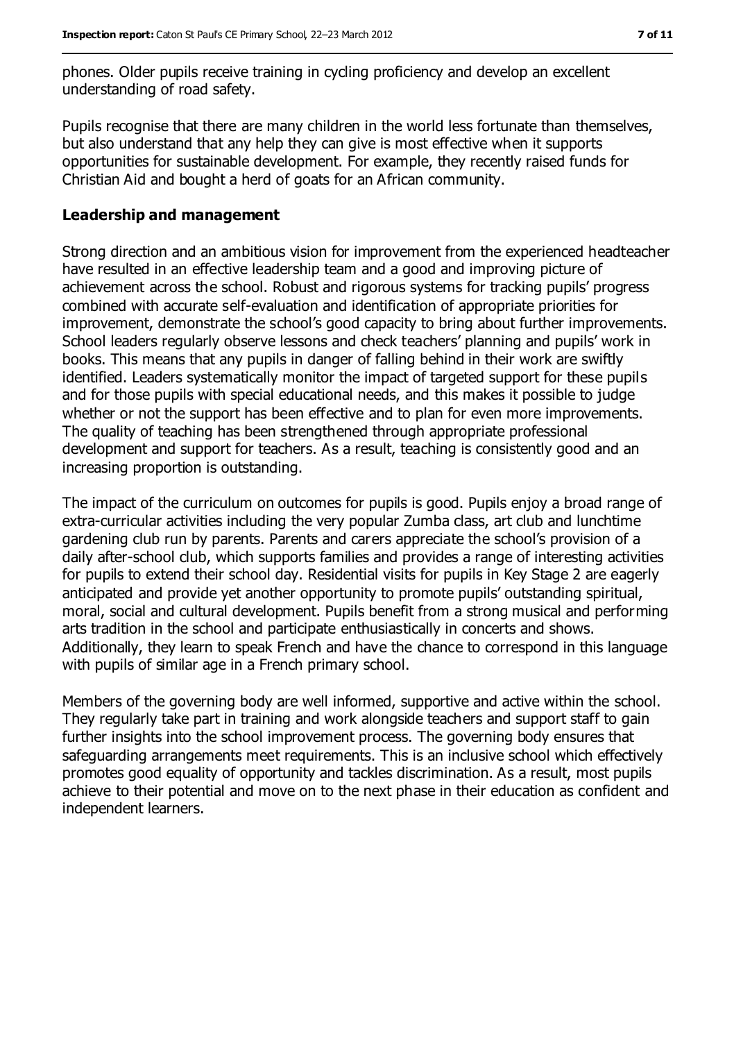phones. Older pupils receive training in cycling proficiency and develop an excellent understanding of road safety.

Pupils recognise that there are many children in the world less fortunate than themselves, but also understand that any help they can give is most effective when it supports opportunities for sustainable development. For example, they recently raised funds for Christian Aid and bought a herd of goats for an African community.

#### **Leadership and management**

Strong direction and an ambitious vision for improvement from the experienced headteacher have resulted in an effective leadership team and a good and improving picture of achievement across the school. Robust and rigorous systems for tracking pupils' progress combined with accurate self-evaluation and identification of appropriate priorities for improvement, demonstrate the school's good capacity to bring about further improvements. School leaders regularly observe lessons and check teachers' planning and pupils' work in books. This means that any pupils in danger of falling behind in their work are swiftly identified. Leaders systematically monitor the impact of targeted support for these pupils and for those pupils with special educational needs, and this makes it possible to judge whether or not the support has been effective and to plan for even more improvements. The quality of teaching has been strengthened through appropriate professional development and support for teachers. As a result, teaching is consistently good and an increasing proportion is outstanding.

The impact of the curriculum on outcomes for pupils is good. Pupils enjoy a broad range of extra-curricular activities including the very popular Zumba class, art club and lunchtime gardening club run by parents. Parents and carers appreciate the school's provision of a daily after-school club, which supports families and provides a range of interesting activities for pupils to extend their school day. Residential visits for pupils in Key Stage 2 are eagerly anticipated and provide yet another opportunity to promote pupils' outstanding spiritual, moral, social and cultural development. Pupils benefit from a strong musical and performing arts tradition in the school and participate enthusiastically in concerts and shows. Additionally, they learn to speak French and have the chance to correspond in this language with pupils of similar age in a French primary school.

Members of the governing body are well informed, supportive and active within the school. They regularly take part in training and work alongside teachers and support staff to gain further insights into the school improvement process. The governing body ensures that safeguarding arrangements meet requirements. This is an inclusive school which effectively promotes good equality of opportunity and tackles discrimination. As a result, most pupils achieve to their potential and move on to the next phase in their education as confident and independent learners.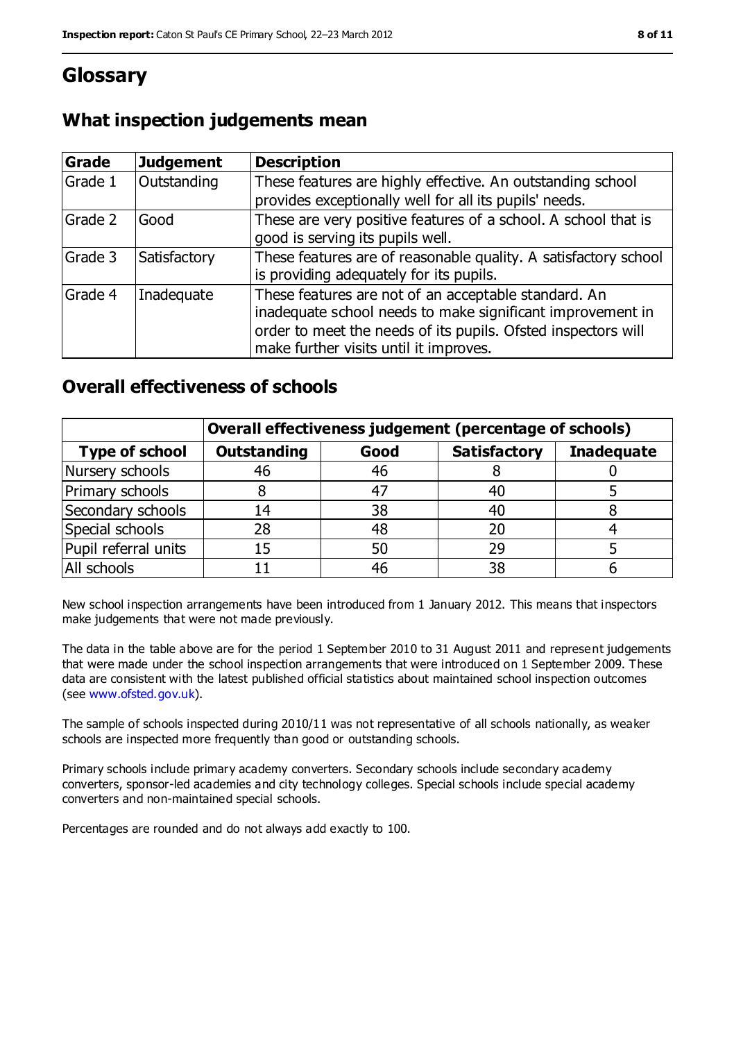# **Glossary**

## **What inspection judgements mean**

| Grade   | <b>Judgement</b> | <b>Description</b>                                                                                                                                                                                                            |
|---------|------------------|-------------------------------------------------------------------------------------------------------------------------------------------------------------------------------------------------------------------------------|
| Grade 1 | Outstanding      | These features are highly effective. An outstanding school<br>provides exceptionally well for all its pupils' needs.                                                                                                          |
| Grade 2 | Good             | These are very positive features of a school. A school that is<br>good is serving its pupils well.                                                                                                                            |
| Grade 3 | Satisfactory     | These features are of reasonable quality. A satisfactory school<br>is providing adequately for its pupils.                                                                                                                    |
| Grade 4 | Inadequate       | These features are not of an acceptable standard. An<br>inadequate school needs to make significant improvement in<br>order to meet the needs of its pupils. Ofsted inspectors will<br>make further visits until it improves. |

## **Overall effectiveness of schools**

|                       | Overall effectiveness judgement (percentage of schools) |      |                     |                   |
|-----------------------|---------------------------------------------------------|------|---------------------|-------------------|
| <b>Type of school</b> | <b>Outstanding</b>                                      | Good | <b>Satisfactory</b> | <b>Inadequate</b> |
| Nursery schools       | 46                                                      | 46   |                     |                   |
| Primary schools       |                                                         | -47  |                     |                   |
| Secondary schools     | 14                                                      | 38   | 40                  |                   |
| Special schools       | 28                                                      | 48   | 20                  |                   |
| Pupil referral units  | 15                                                      | 50   | 29                  |                   |
| All schools           |                                                         | 46   | 38                  |                   |

New school inspection arrangements have been introduced from 1 January 2012. This means that inspectors make judgements that were not made previously.

The data in the table above are for the period 1 September 2010 to 31 August 2011 and represent judgements that were made under the school inspection arrangements that were introduced on 1 September 2009. These data are consistent with the latest published official statistics about maintained school inspection outcomes (see [www.ofsted.gov.uk\)](file:///C:/Users/ggleaden/49683/Local%20Settings/Local%20Settings/Temporary%20Internet%20Files/Local%20Settings/Temporary%20Internet%20Files/Content.IE5/712F4V6C/www.ofsted.gov.uk).

The sample of schools inspected during 2010/11 was not representative of all schools nationally, as weaker schools are inspected more frequently than good or outstanding schools.

Primary schools include primary academy converters. Secondary schools include secondary academy converters, sponsor-led academies and city technology colleges. Special schools include special academy converters and non-maintained special schools.

Percentages are rounded and do not always add exactly to 100.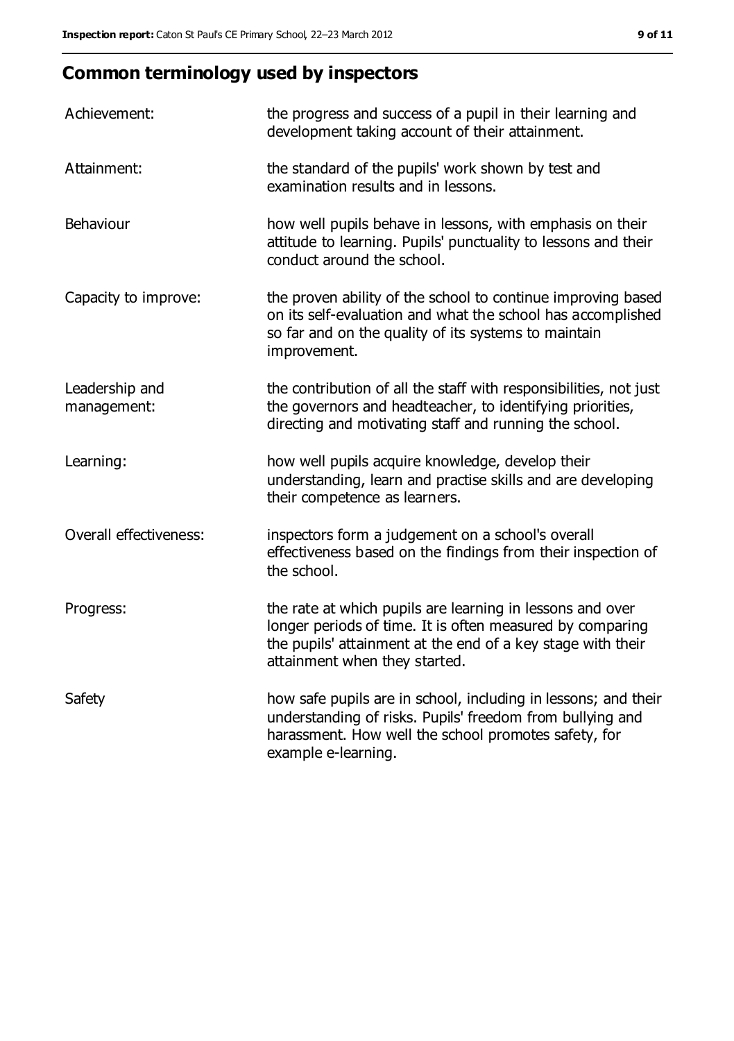# **Common terminology used by inspectors**

| Achievement:                  | the progress and success of a pupil in their learning and<br>development taking account of their attainment.                                                                                                           |
|-------------------------------|------------------------------------------------------------------------------------------------------------------------------------------------------------------------------------------------------------------------|
| Attainment:                   | the standard of the pupils' work shown by test and<br>examination results and in lessons.                                                                                                                              |
| Behaviour                     | how well pupils behave in lessons, with emphasis on their<br>attitude to learning. Pupils' punctuality to lessons and their<br>conduct around the school.                                                              |
| Capacity to improve:          | the proven ability of the school to continue improving based<br>on its self-evaluation and what the school has accomplished<br>so far and on the quality of its systems to maintain<br>improvement.                    |
| Leadership and<br>management: | the contribution of all the staff with responsibilities, not just<br>the governors and headteacher, to identifying priorities,<br>directing and motivating staff and running the school.                               |
| Learning:                     | how well pupils acquire knowledge, develop their<br>understanding, learn and practise skills and are developing<br>their competence as learners.                                                                       |
| Overall effectiveness:        | inspectors form a judgement on a school's overall<br>effectiveness based on the findings from their inspection of<br>the school.                                                                                       |
| Progress:                     | the rate at which pupils are learning in lessons and over<br>longer periods of time. It is often measured by comparing<br>the pupils' attainment at the end of a key stage with their<br>attainment when they started. |
| Safety                        | how safe pupils are in school, including in lessons; and their<br>understanding of risks. Pupils' freedom from bullying and<br>harassment. How well the school promotes safety, for<br>example e-learning.             |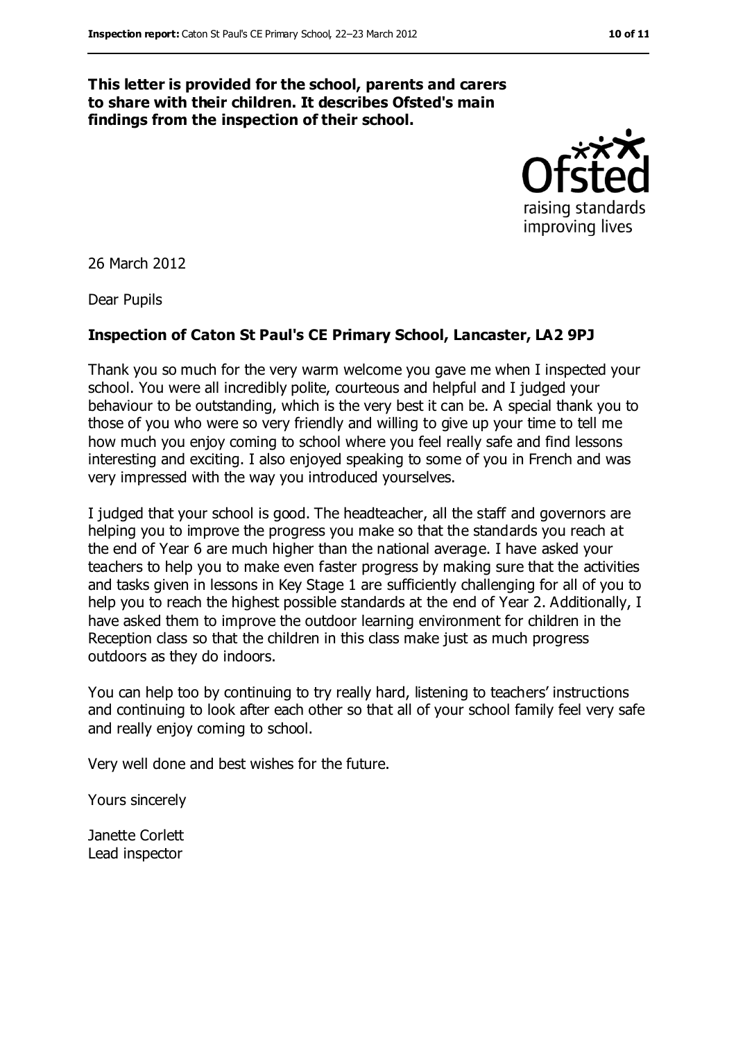#### **This letter is provided for the school, parents and carers to share with their children. It describes Ofsted's main findings from the inspection of their school.**



26 March 2012

Dear Pupils

#### **Inspection of Caton St Paul's CE Primary School, Lancaster, LA2 9PJ**

Thank you so much for the very warm welcome you gave me when I inspected your school. You were all incredibly polite, courteous and helpful and I judged your behaviour to be outstanding, which is the very best it can be. A special thank you to those of you who were so very friendly and willing to give up your time to tell me how much you enjoy coming to school where you feel really safe and find lessons interesting and exciting. I also enjoyed speaking to some of you in French and was very impressed with the way you introduced yourselves.

I judged that your school is good. The headteacher, all the staff and governors are helping you to improve the progress you make so that the standards you reach at the end of Year 6 are much higher than the national average. I have asked your teachers to help you to make even faster progress by making sure that the activities and tasks given in lessons in Key Stage 1 are sufficiently challenging for all of you to help you to reach the highest possible standards at the end of Year 2. Additionally, I have asked them to improve the outdoor learning environment for children in the Reception class so that the children in this class make just as much progress outdoors as they do indoors.

You can help too by continuing to try really hard, listening to teachers' instructions and continuing to look after each other so that all of your school family feel very safe and really enjoy coming to school.

Very well done and best wishes for the future.

Yours sincerely

Janette Corlett Lead inspector